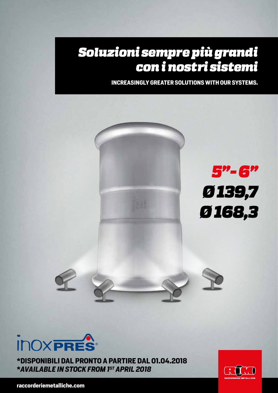## *Soluzioni sempre più grandi con i nostri sistemi*

**INCREASINGLY GREATER SOLUTIONS WITH OUR SYSTEMS.**



**INOXPRES** 

**\*DISPONIBILI DAL PRONTO A PARTIRE DAL 01.04.2018 \****AVAILABLE IN STOCK FROM 1ST APRIL 2018*

 $CTD$ 

**raccorderiemetalliche.com**